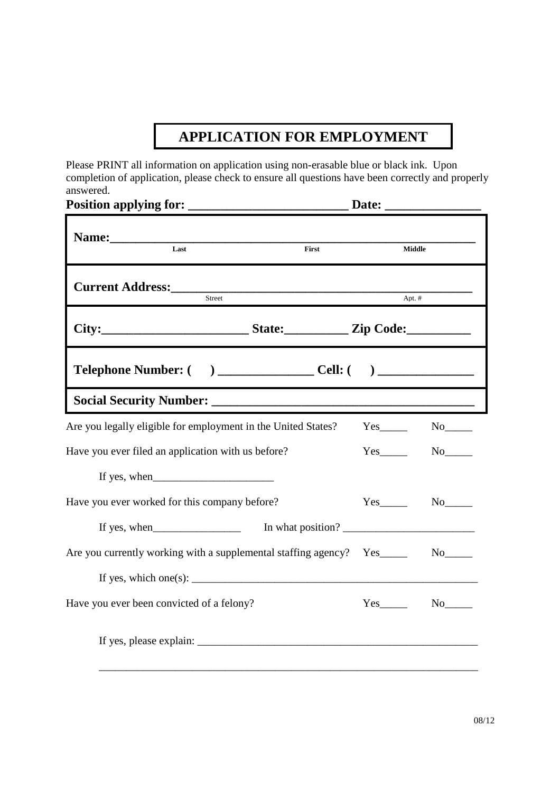## **APPLICATION FOR EMPLOYMENT**

Please PRINT all information on application using non-erasable blue or black ink. Upon completion of application, please check to ensure all questions have been correctly and properly answered.<br>**Position** 

|                                                                                                                                                                                                                                                                                                                                    | Date:                     |
|------------------------------------------------------------------------------------------------------------------------------------------------------------------------------------------------------------------------------------------------------------------------------------------------------------------------------------|---------------------------|
| Name: $\frac{1}{2}$ and $\frac{1}{2}$ and $\frac{1}{2}$ and $\frac{1}{2}$ and $\frac{1}{2}$ and $\frac{1}{2}$ and $\frac{1}{2}$ and $\frac{1}{2}$ and $\frac{1}{2}$ and $\frac{1}{2}$ and $\frac{1}{2}$ and $\frac{1}{2}$ and $\frac{1}{2}$ and $\frac{1}{2}$ and $\frac{1}{2}$ and $\frac{1$<br>$\overline{\text{Last}}$<br>First | Middle                    |
| <b>Current Address:</b> Street                                                                                                                                                                                                                                                                                                     | $Apt.$ #                  |
| City:_____________________________State:______________Zip Code:_________________                                                                                                                                                                                                                                                   |                           |
|                                                                                                                                                                                                                                                                                                                                    |                           |
|                                                                                                                                                                                                                                                                                                                                    |                           |
| Are you legally eligible for employment in the United States?                                                                                                                                                                                                                                                                      | $Yes$ <sub>________</sub> |
| Have you ever filed an application with us before?                                                                                                                                                                                                                                                                                 | $Yes$ <sub>________</sub> |
|                                                                                                                                                                                                                                                                                                                                    |                           |
| Have you ever worked for this company before?                                                                                                                                                                                                                                                                                      | $Yes$ <sub>________</sub> |
| If yes, when<br>$\frac{1}{2}$                                                                                                                                                                                                                                                                                                      | In what position?         |
| Are you currently working with a supplemental staffing agency?  Yes_____                                                                                                                                                                                                                                                           | $No$ <sub>______</sub>    |
| If yes, which one(s): $\frac{1}{2}$ and $\frac{1}{2}$ and $\frac{1}{2}$ and $\frac{1}{2}$ and $\frac{1}{2}$ and $\frac{1}{2}$ and $\frac{1}{2}$ and $\frac{1}{2}$ and $\frac{1}{2}$ and $\frac{1}{2}$ and $\frac{1}{2}$ and $\frac{1}{2}$ and $\frac{1}{2}$ and $\frac{1}{2}$ and $\frac$                                          |                           |
| Have you ever been convicted of a felony?                                                                                                                                                                                                                                                                                          | $No$ <sub>______</sub>    |
|                                                                                                                                                                                                                                                                                                                                    |                           |
|                                                                                                                                                                                                                                                                                                                                    |                           |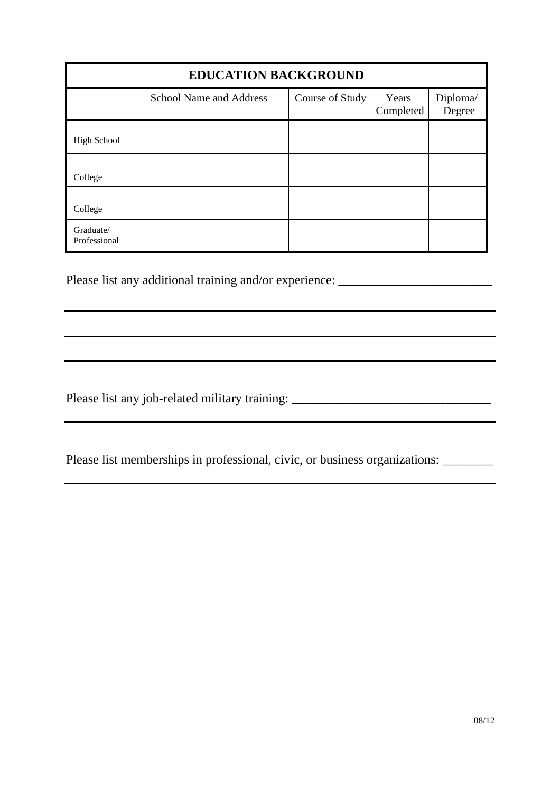| <b>EDUCATION BACKGROUND</b> |                                |                 |                    |                    |
|-----------------------------|--------------------------------|-----------------|--------------------|--------------------|
|                             | <b>School Name and Address</b> | Course of Study | Years<br>Completed | Diploma/<br>Degree |
| <b>High School</b>          |                                |                 |                    |                    |
| College                     |                                |                 |                    |                    |
| College                     |                                |                 |                    |                    |
| Graduate/<br>Professional   |                                |                 |                    |                    |

Please list any additional training and/or experience: \_\_\_\_\_\_\_\_\_\_\_\_\_\_\_\_\_\_\_\_\_\_\_\_\_

Please list any job-related military training: \_\_\_\_\_\_\_\_\_\_\_\_\_\_\_\_\_\_\_\_\_\_\_\_\_\_\_\_\_\_\_\_\_\_

Please list memberships in professional, civic, or business organizations: \_\_\_\_\_\_\_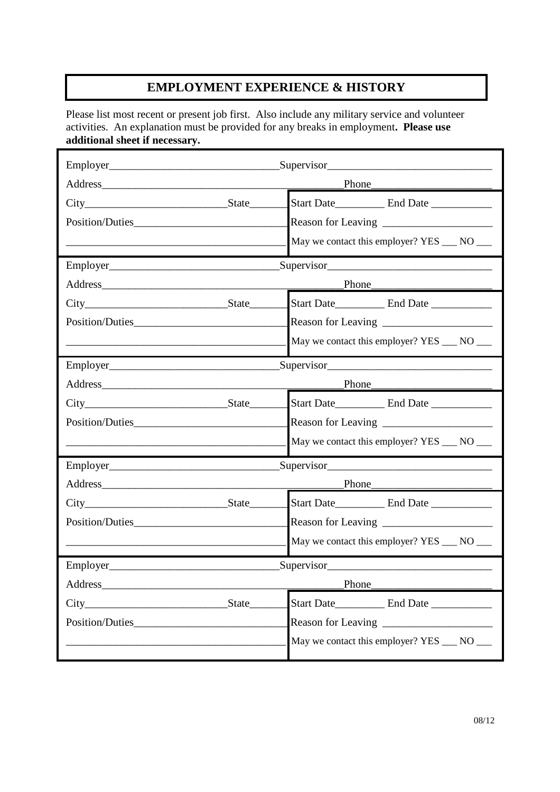## **EMPLOYMENT EXPERIENCE & HISTORY**

Please list most recent or present job first. Also include any military service and volunteer activities. An explanation must be provided for any breaks in employment**. Please use additional sheet if necessary.** 

|                 | Supervisor Supervisor Supervisor Supervisor Supervisor Supervisor Supervisor Supervisor Supervisor Supervisor Supervisor Supervisor Supervisor Supervisor Supervisor Supervisor Supervisor Supervisor Supervisor Supervisor Su |                                                                                                                                                                                                                                |
|-----------------|--------------------------------------------------------------------------------------------------------------------------------------------------------------------------------------------------------------------------------|--------------------------------------------------------------------------------------------------------------------------------------------------------------------------------------------------------------------------------|
|                 | Phone                                                                                                                                                                                                                          |                                                                                                                                                                                                                                |
| $City$ State    |                                                                                                                                                                                                                                |                                                                                                                                                                                                                                |
|                 |                                                                                                                                                                                                                                |                                                                                                                                                                                                                                |
|                 |                                                                                                                                                                                                                                | May we contact this employer? YES ___ NO ___                                                                                                                                                                                   |
|                 |                                                                                                                                                                                                                                | Supervisor Supervisor Supervisor Supervisor Supervisor Supervisor Supervisor Supervisor Supervisor Supervisor Supervisor Supervisor Supervisor Supervisor Supervisor Supervisor Supervisor Supervisor Supervisor Supervisor Su |
|                 |                                                                                                                                                                                                                                |                                                                                                                                                                                                                                |
|                 |                                                                                                                                                                                                                                | Start Date_____________ End Date ____________                                                                                                                                                                                  |
|                 |                                                                                                                                                                                                                                |                                                                                                                                                                                                                                |
|                 |                                                                                                                                                                                                                                | May we contact this employer? YES ___ NO ___                                                                                                                                                                                   |
|                 | Supervisor                                                                                                                                                                                                                     |                                                                                                                                                                                                                                |
|                 | Phone                                                                                                                                                                                                                          |                                                                                                                                                                                                                                |
|                 |                                                                                                                                                                                                                                | Start Date_____________ End Date _____________                                                                                                                                                                                 |
|                 |                                                                                                                                                                                                                                |                                                                                                                                                                                                                                |
|                 |                                                                                                                                                                                                                                | May we contact this employer? YES ___ NO ___                                                                                                                                                                                   |
|                 | $\text{Supervisor}$                                                                                                                                                                                                            |                                                                                                                                                                                                                                |
|                 | Phone                                                                                                                                                                                                                          |                                                                                                                                                                                                                                |
|                 |                                                                                                                                                                                                                                |                                                                                                                                                                                                                                |
| Position/Duties |                                                                                                                                                                                                                                |                                                                                                                                                                                                                                |
|                 |                                                                                                                                                                                                                                | May we contact this employer? YES ___ NO ___                                                                                                                                                                                   |
|                 | $\text{Supervisor}\_$                                                                                                                                                                                                          |                                                                                                                                                                                                                                |
| Address_        | Phone                                                                                                                                                                                                                          |                                                                                                                                                                                                                                |
| City            |                                                                                                                                                                                                                                |                                                                                                                                                                                                                                |
| Position/Duties |                                                                                                                                                                                                                                | Reason for Leaving                                                                                                                                                                                                             |
|                 |                                                                                                                                                                                                                                | May we contact this employer? YES ____ NO ____                                                                                                                                                                                 |